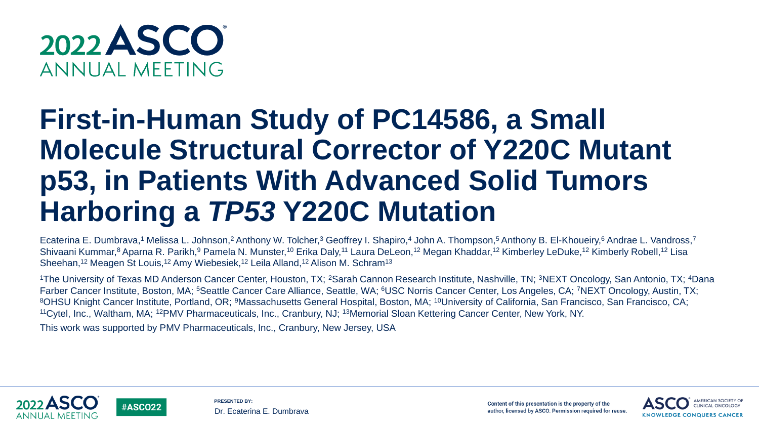

**#ASCO22** 

# **First-in-Human Study of PC14586, a Small Molecule Structural Corrector of Y220C Mutant p53, in Patients With Advanced Solid Tumors Harboring a** *TP53* **Y220C Mutation**

Ecaterina E. Dumbrava,<sup>1</sup> Melissa L. Johnson,<sup>2</sup> Anthony W. Tolcher,<sup>3</sup> Geoffrey I. Shapiro,<sup>4</sup> John A. Thompson,<sup>5</sup> Anthony B. El-Khoueiry,<sup>6</sup> Andrae L. Vandross,<sup>7</sup> Shivaani Kummar,<sup>8</sup> Aparna R. Parikh,<sup>9</sup> Pamela N. Munster,<sup>10</sup> Erika Daly,<sup>11</sup> Laura DeLeon,<sup>12</sup> Megan Khaddar,<sup>12</sup> Kimberley LeDuke,<sup>12</sup> Kimberly Robell,<sup>12</sup> Lisa Sheehan,<sup>12</sup> Meagen St Louis,<sup>12</sup> Amy Wiebesiek,<sup>12</sup> Leila Alland,<sup>12</sup> Alison M. Schram<sup>13</sup>

<sup>1</sup>The University of Texas MD Anderson Cancer Center, Houston, TX; <sup>2</sup>Sarah Cannon Research Institute, Nashville, TN; <sup>3</sup>NEXT Oncology, San Antonio, TX; <sup>4</sup>Dana Farber Cancer Institute, Boston, MA; <sup>5</sup>Seattle Cancer Care Alliance, Seattle, WA; <sup>6</sup>USC Norris Cancer Center, Los Angeles, CA; <sup>7</sup>NEXT Oncology, Austin, TX; 8OHSU Knight Cancer Institute, Portland, OR; <sup>9</sup>Massachusetts General Hospital, Boston, MA; <sup>10</sup>University of California, San Francisco, San Francisco, CA; <sup>11</sup>Cytel, Inc., Waltham, MA; <sup>12</sup>PMV Pharmaceuticals, Inc., Cranbury, NJ; <sup>13</sup>Memorial Sloan Kettering Cancer Center, New York, NY.

This work was supported by PMV Pharmaceuticals, Inc., Cranbury, New Jersey, USA





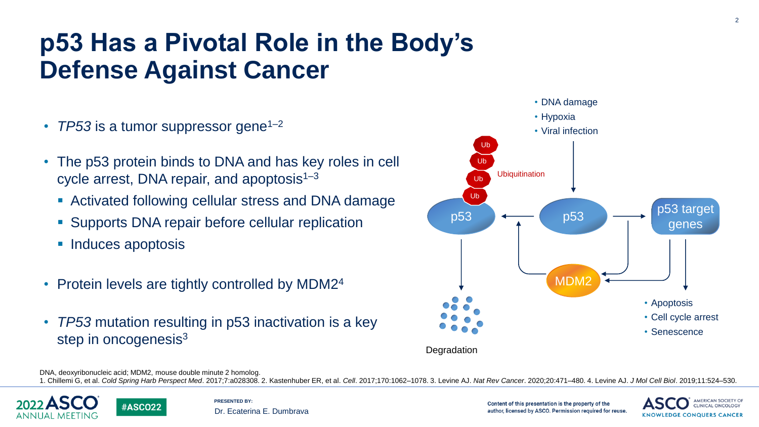## **p53 Has a Pivotal Role in the Body's Defense Against Cancer**

- *TP53* is a tumor suppressor gene<sup>1–2</sup>
- The p53 protein binds to DNA and has key roles in cell cycle arrest, DNA repair, and apoptosis $1-3$ 
	- Activated following cellular stress and DNA damage
	- Supports DNA repair before cellular replication
	- Induces apoptosis
- Protein levels are tightly controlled by MDM2<sup>4</sup>
- *TP53* mutation resulting in p53 inactivation is a key step in oncogenesis<sup>3</sup>



DNA, deoxyribonucleic acid; MDM2, mouse double minute 2 homolog.

**#ASCO22** 

1. Chillemi G, et al. Cold Spring Harb Perspect Med. 2017;7:a028308. 2. Kastenhuber ER, et al. Cell. 2017;170:1062-1078. 3. Levine AJ. Nat Rev Cancer. 2020;20:471-480. 4. Levine AJ. J Mol Cell Biol. 2019;11:524-530.





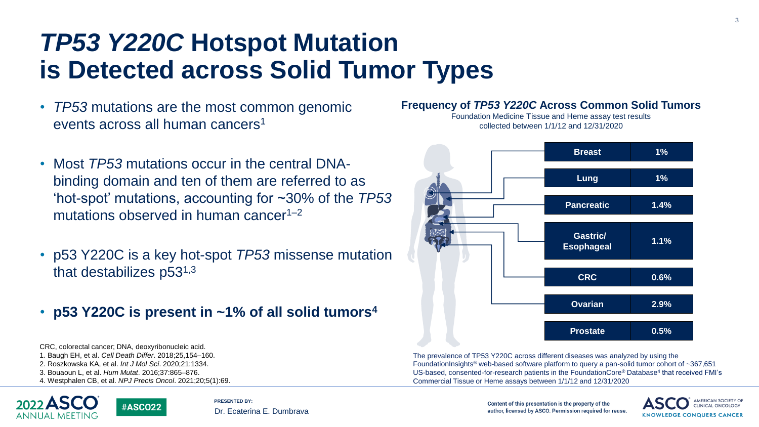### *TP53 Y220C* **Hotspot Mutation is Detected across Solid Tumor Types**

- *TP53* mutations are the most common genomic events across all human cancers<sup>1</sup>
- Most *TP53* mutations occur in the central DNAbinding domain and ten of them are referred to as 'hot-spot' mutations, accounting for ~30% of the *TP53* mutations observed in human cancer<sup> $1-2$ </sup>
- p53 Y220C is a key hot-spot *TP53* missense mutation that destabilizes  $p53^{1,3}$
- **p53 Y220C is present in ~1% of all solid tumors<sup>4</sup>**

CRC, colorectal cancer; DNA, deoxyribonucleic acid. 1. Baugh EH, et al. *Cell Death Differ*. 2018;25,154–160. 2. Roszkowska KA, et al. *Int J Mol Sci*. 2020;21:1334. 3. Bouaoun L, et al. *Hum Mutat*. 2016;37:865–876.

4. Westphalen CB, et al. *NPJ Precis Oncol*. 2021;20;5(1):69.

**#ASCO22** 



**PRESENTED BY:** Dr. Ecaterina E. Dumbrava

#### **Frequency of** *TP53 Y220C* **Across Common Solid Tumors** Foundation Medicine Tissue and Heme assay test results



The prevalence of TP53 Y220C across different diseases was analyzed by using the FoundationInsights® web-based software platform to query a pan-solid tumor cohort of ~367,651 US-based, consented-for-research patients in the FoundationCore® Database<sup>4</sup> that received FMI's Commercial Tissue or Heme assays between 1/1/12 and 12/31/2020

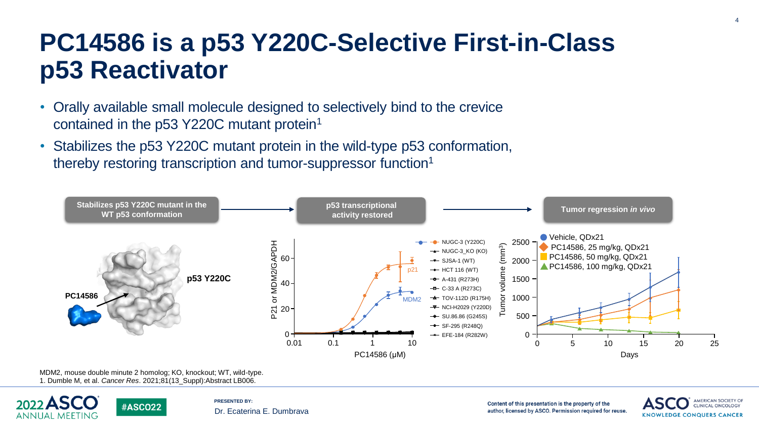### **PC14586 is a p53 Y220C-Selective First-in-Class p53 Reactivator**

- Orally available small molecule designed to selectively bind to the crevice contained in the p53 Y220C mutant protein<sup>1</sup>
- Stabilizes the p53 Y220C mutant protein in the wild-type p53 conformation, thereby restoring transcription and tumor-suppressor function<sup>1</sup>



MDM2, mouse double minute 2 homolog; KO, knockout; WT, wild-type. 1. Dumble M, et al. *Cancer Res*. 2021;81(13\_Suppl):Abstract LB006.

**#ASCO22** 



**PRESENTED BY:** Dr. Ecaterina E. Dumbrava

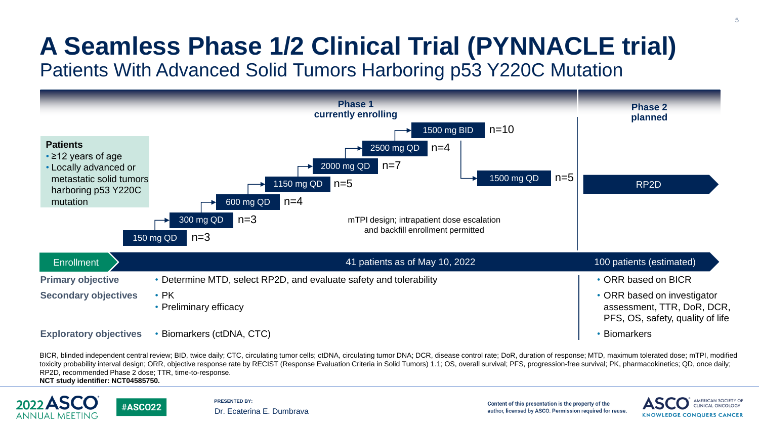# **A Seamless Phase 1/2 Clinical Trial (PYNNACLE trial)**

Patients With Advanced Solid Tumors Harboring p53 Y220C Mutation



BICR, blinded independent central review; BID, twice daily; CTC, circulating tumor cells; ctDNA, circulating tumor DNA; DCR, disease control rate; DoR, duration of response; MTD, maximum tolerated dose; mTPI, modified toxicity probability interval design; ORR, objective response rate by RECIST (Response Evaluation Criteria in Solid Tumors) 1.1; OS, overall survival; PFS, progression-free survival; PK, pharmacokinetics; QD, once daily; RP2D, recommended Phase 2 dose; TTR, time-to-response.

**NCT study identifier: NCT04585750.**

**#ASCO22** 



**PRESENTED BY:** Dr. Ecaterina E. Dumbrava

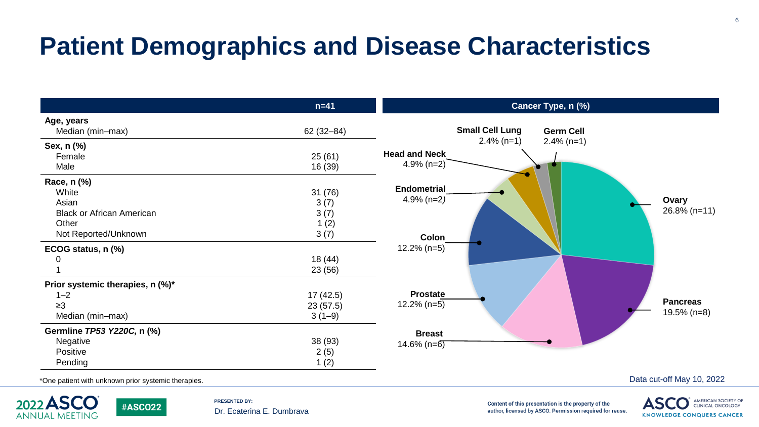## **Patient Demographics and Disease Characteristics**

|                                                     | $n=41$        | Cancer Type, n (%)                         |  |  |  |
|-----------------------------------------------------|---------------|--------------------------------------------|--|--|--|
| Age, years                                          |               |                                            |  |  |  |
| Median (min-max)                                    | $62(32 - 84)$ | <b>Small Cell Lung</b><br><b>Germ Cell</b> |  |  |  |
| Sex, n (%)                                          |               | $2.4\%$ (n=1)<br>$2.4\%$ (n=1)             |  |  |  |
| Female                                              | 25(61)        | <b>Head and Neck</b>                       |  |  |  |
| Male                                                | 16 (39)       | $4.9\%$ (n=2)                              |  |  |  |
| Race, n (%)                                         |               |                                            |  |  |  |
| White                                               | 31(76)        | <b>Endometrial</b>                         |  |  |  |
| Asian                                               | 3(7)          | $4.9\%$ (n=2)<br>Ovary                     |  |  |  |
| <b>Black or African American</b>                    | 3(7)          | $26.8\%$ (n=11)                            |  |  |  |
| Other                                               | 1(2)          |                                            |  |  |  |
| Not Reported/Unknown                                | 3(7)          | Colon                                      |  |  |  |
| ECOG status, n (%)                                  |               | $12.2\%$ (n=5)                             |  |  |  |
|                                                     | 18 (44)       |                                            |  |  |  |
|                                                     | 23 (56)       |                                            |  |  |  |
| Prior systemic therapies, n (%)*                    |               |                                            |  |  |  |
| $1 - 2$                                             | 17(42.5)      | <b>Prostate</b>                            |  |  |  |
| $\geq 3$                                            | 23(57.5)      | <b>Pancreas</b><br>$12.2\%$ (n=5)          |  |  |  |
| Median (min-max)                                    | $3(1-9)$      | $19.5\%$ (n=8)                             |  |  |  |
| Germline TP53 Y220C, n (%)                          |               | <b>Breast</b>                              |  |  |  |
| Negative                                            | 38 (93)       | $14.6\%$ (n=6)                             |  |  |  |
| Positive                                            | 2(5)          |                                            |  |  |  |
| Pending                                             | 1(2)          |                                            |  |  |  |
| *One patient with unknown prior systemic therapies. |               | Data cut-off May 10, 2022                  |  |  |  |

\*One patient with unknown prior systemic therapies.

**#ASCO22** 



**PRESENTED BY:** Dr. Ecaterina E. Dumbrava

Content of this presentation is the property of the

author, licensed by ASCO. Permission required for reuse.

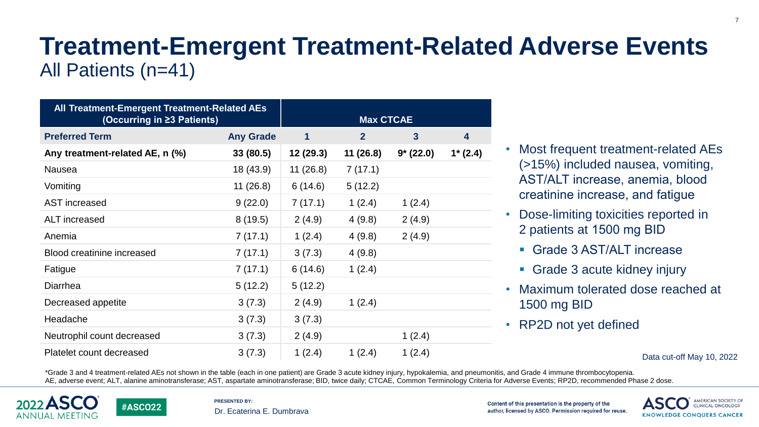#### **Treatment-Emergent Treatment-Related Adverse Events** All Patients (n=41)

| All Treatment-Emergent Treatment-Related AEs<br>(Occurring in ≥3 Patients) |                  | <b>Max CTCAE</b> |                |              |           |
|----------------------------------------------------------------------------|------------------|------------------|----------------|--------------|-----------|
| <b>Preferred Term</b>                                                      | <b>Any Grade</b> | 1                | $\overline{2}$ | $\mathbf{3}$ | 4         |
| Any treatment-related AE, n (%)                                            | 33 (80.5)        | 12 (29.3)        | 11(26.8)       | $9*(22.0)$   | $1*(2.4)$ |
| <b>Nausea</b>                                                              | 18 (43.9)        | 11(26.8)         | 7(17.1)        |              |           |
| Vomiting                                                                   | 11(26.8)         | 6(14.6)          | 5(12.2)        |              |           |
| <b>AST</b> increased                                                       | 9(22.0)          | 7(17.1)          | 1(2.4)         | 1(2.4)       |           |
| ALT increased                                                              | 8(19.5)          | 2(4.9)           | 4(9.8)         | 2(4.9)       |           |
| Anemia                                                                     | 7(17.1)          | 1(2.4)           | 4(9.8)         | 2(4.9)       |           |
| Blood creatinine increased                                                 | 7(17.1)          | 3(7.3)           | 4(9.8)         |              |           |
| Fatigue                                                                    | 7(17.1)          | 6(14.6)          | 1(2.4)         |              |           |
| Diarrhea                                                                   | 5(12.2)          | 5(12.2)          |                |              |           |
| Decreased appetite                                                         | 3(7.3)           | 2(4.9)           | 1(2.4)         |              |           |
| Headache                                                                   | 3(7.3)           | 3(7.3)           |                |              |           |
| Neutrophil count decreased                                                 | 3(7.3)           | 2(4.9)           |                | 1(2.4)       |           |
| Platelet count decreased                                                   | 3(7.3)           | 1(2.4)           | 1(2.4)         | 1(2.4)       |           |

- Most frequent treatment-related AEs (>15%) included nausea, vomiting, AST/ALT increase, anemia, blood creatinine increase, and fatigue
- Dose-limiting toxicities reported in 2 patients at 1500 mg BID
	- Grade 3 AST/ALT increase
	- Grade 3 acute kidney injury
- Maximum tolerated dose reached at 1500 mg BID
- RP2D not yet defined

#### Data cut-off May 10, 2022

\*Grade 3 and 4 treatment-related AEs not shown in the table (each in one patient) are Grade 3 acute kidney injury, hypokalemia, and pneumonitis, and Grade 4 immune thrombocytopenia. AE, adverse event; ALT, alanine aminotransferase; AST, aspartate aminotransferase; BID, twice daily; CTCAE, Common Terminology Criteria for Adverse Events; RP2D, recommended Phase 2 dose.



**#ASCO22** 

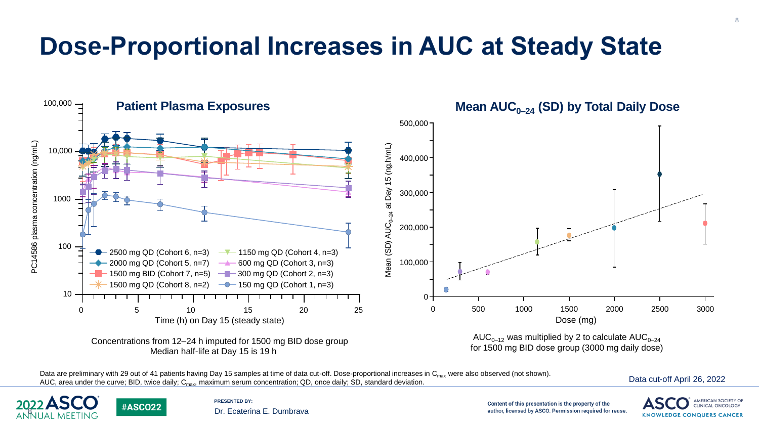## **Dose-Proportional Increases in AUC at Steady State**



Data are preliminary with 29 out of 41 patients having Day 15 samples at time of data cut-off. Dose-proportional increases in C<sub>max</sub> were also observed (not shown). AUC, area under the curve; BID, twice daily;  $C_{\text{max}}$ , maximum serum concentration; QD, once daily; SD, standard deviation.





**#ASCO22** 

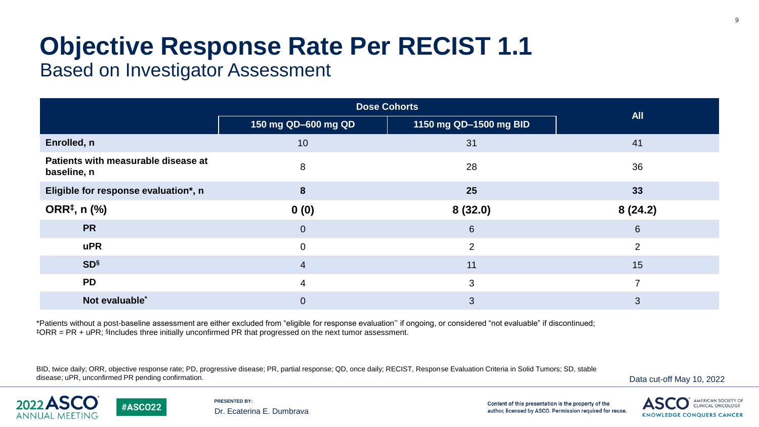# **Objective Response Rate Per RECIST 1.1**

#### Based on Investigator Assessment

|                                                    | <b>Dose Cohorts</b>                           |                 |                 |  |
|----------------------------------------------------|-----------------------------------------------|-----------------|-----------------|--|
|                                                    | 1150 mg QD-1500 mg BID<br>150 mg QD-600 mg QD |                 | <b>All</b>      |  |
| Enrolled, n                                        | 10                                            | 31              | 41              |  |
| Patients with measurable disease at<br>baseline, n | 8                                             | 28              | 36              |  |
| Eligible for response evaluation*, n               | 8                                             | 25              | 33              |  |
| ORR <sup>‡</sup> , n (%)                           | 0(0)                                          | 8(32.0)         | 8(24.2)         |  |
| <b>PR</b>                                          | $\mathbf 0$                                   | $6\phantom{1}6$ | $6\overline{6}$ |  |
| <b>uPR</b>                                         | $\Omega$                                      | $\overline{2}$  | 2               |  |
| <b>SD</b> <sup>§</sup>                             | $\overline{4}$                                | 11              | 15              |  |
| <b>PD</b>                                          | $\overline{4}$                                | 3               | $\overline{ }$  |  |
| Not evaluable*                                     | $\overline{0}$                                | 3               | 3               |  |

\*Patients without a post-baseline assessment are either excluded from "eligible for response evaluation'' if ongoing, or considered "not evaluable" if discontinued; ‡ORR = PR + uPR; § Includes three initially unconfirmed PR that progressed on the next tumor assessment.

BID, twice daily; ORR, objective response rate; PD, progressive disease; PR, partial response; QD, once daily; RECIST, Response Evaluation Criteria in Solid Tumors; SD, stable disease; uPR, unconfirmed PR pending confirmation.





**#ASCO22** 

**PRESENTED BY:** Dr. Ecaterina E. Dumbrava

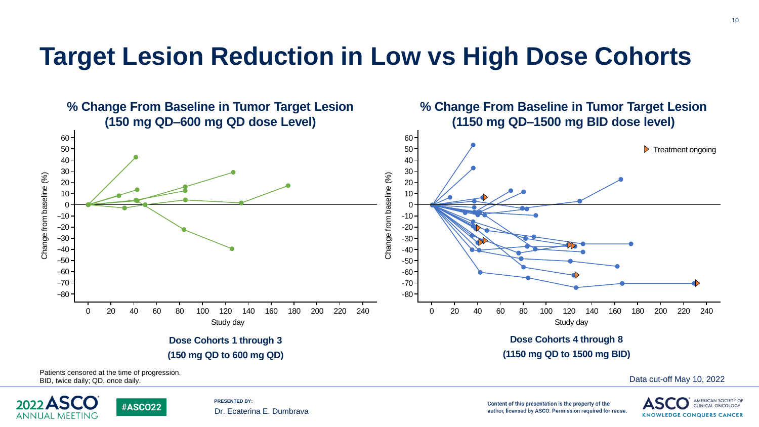#### **Target Lesion Reduction in Low vs High Dose Cohorts**





**#ASCO22** 

**PRESENTED BY:** Dr. Ecaterina E. Dumbrava

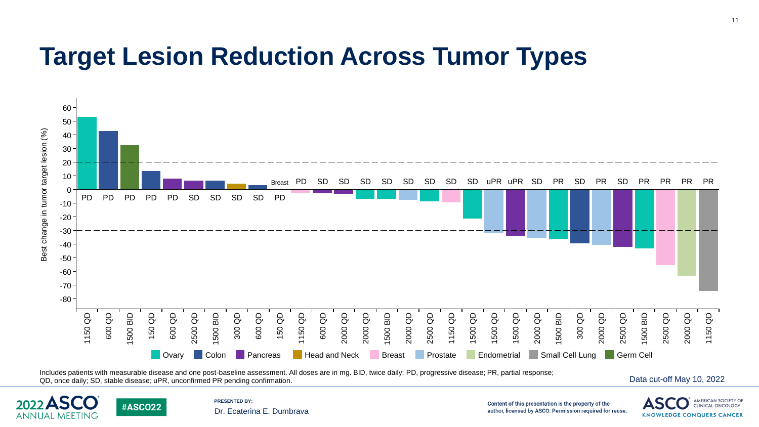#### **Target Lesion Reduction Across Tumor Types**



Includes patients with measurable disease and one post-baseline assessment. All doses are in mg. BID, twice daily; PD, progressive disease; PR, partial response; COD, once daily; SD, stable disease; uPR, unconfirmed PR pending confirmation.<br>QD, once daily; SD, stable disease; uPR, unconfirmed PR pending confirmation.





**#ASCO22** 

**PRESENTED BY:** Dr. Ecaterina E. Dumbrava

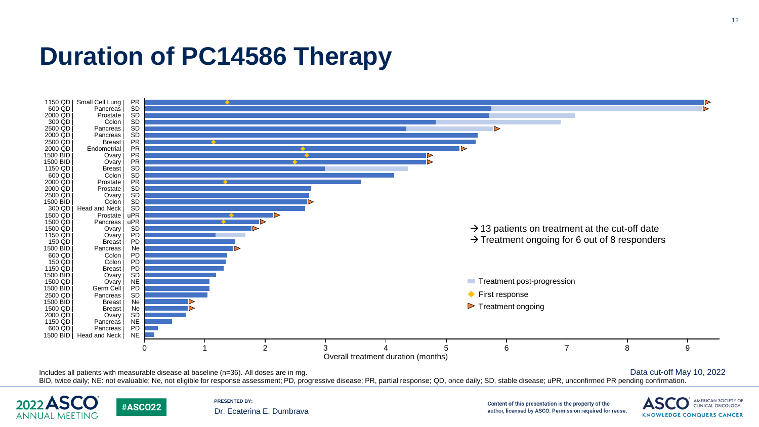### **Duration of PC14586 Therapy**





**#ASCO22** 

**PRESENTED BY:** Dr. Ecaterina E. Dumbrava

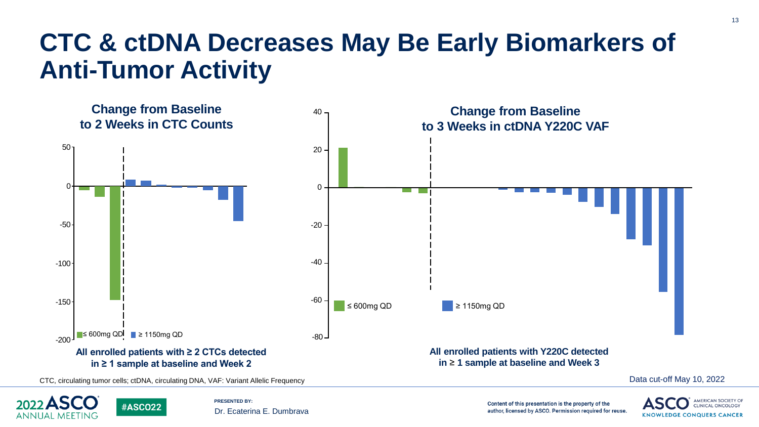## **CTC & ctDNA Decreases May Be Early Biomarkers of Anti-Tumor Activity**





**#ASCO22** 

**PRESENTED BY:** Dr. Ecaterina E. Dumbrava

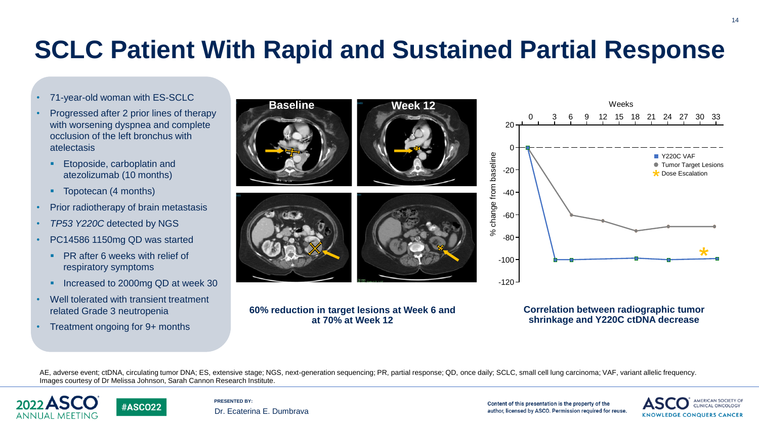# **SCLC Patient With Rapid and Sustained Partial Response**

- 71-year-old woman with ES-SCLC
- Progressed after 2 prior lines of therapy with worsening dyspnea and complete occlusion of the left bronchus with atelectasis
	- Etoposide, carboplatin and atezolizumab (10 months)
	- Topotecan (4 months)
- Prior radiotherapy of brain metastasis
- *TP53 Y220C* detected by NGS
- PC14586 1150mg QD was started
	- **PR after 6 weeks with relief of** respiratory symptoms
	- **Increased to 2000mg QD at week 30**
- Well tolerated with transient treatment related Grade 3 neutropenia
- Treatment ongoing for 9+ months



#### **60% reduction in target lesions at Week 6 and at 70% at Week 12**



#### **Correlation between radiographic tumor shrinkage and Y220C ctDNA decrease**

AE, adverse event; ctDNA, circulating tumor DNA; ES, extensive stage; NGS, next-generation sequencing; PR, partial response; QD, once daily; SCLC, small cell lung carcinoma; VAF, variant allelic frequency. Images courtesy of Dr Melissa Johnson, Sarah Cannon Research Institute.





**PRESENTED BY:** Dr. Ecaterina E. Dumbrava

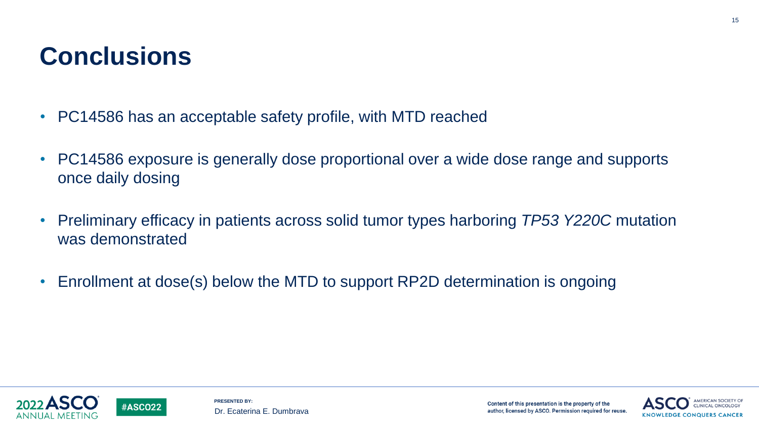### **Conclusions**

- PC14586 has an acceptable safety profile, with MTD reached
- PC14586 exposure is generally dose proportional over a wide dose range and supports once daily dosing
- Preliminary efficacy in patients across solid tumor types harboring *TP53 Y220C* mutation was demonstrated
- Enrollment at dose(s) below the MTD to support RP2D determination is ongoing





**#ASCO22**